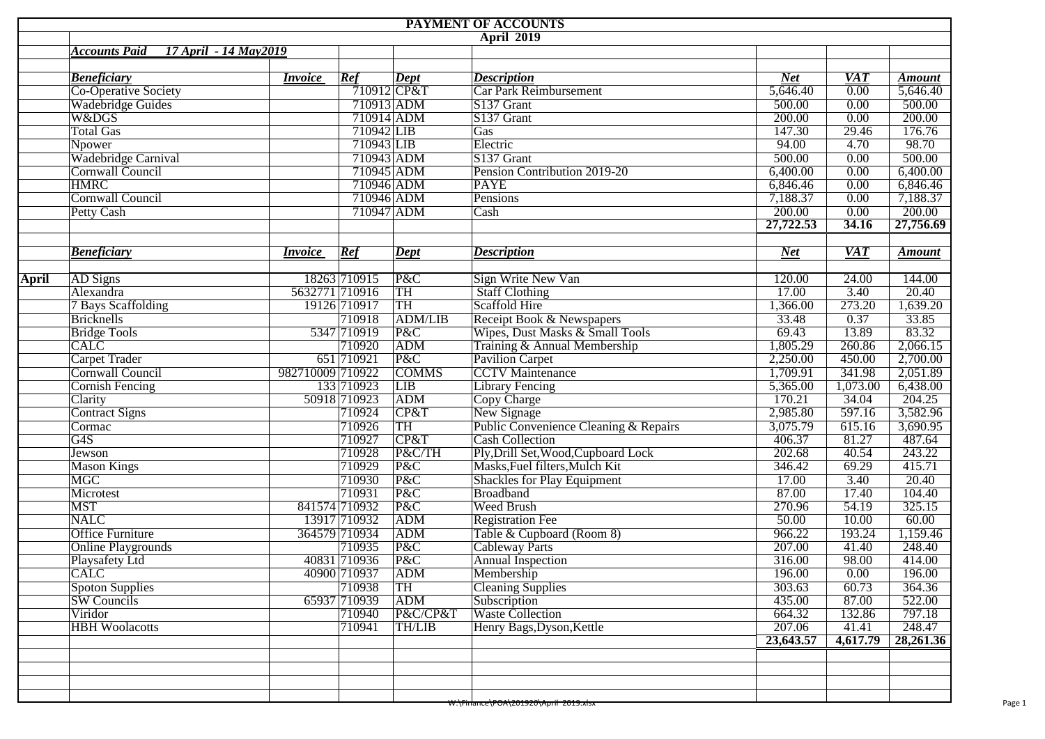|              |                                               |                  |               |                  | PAYMENT OF ACCOUNTS                   |            |                  |               |  |  |  |  |  |  |
|--------------|-----------------------------------------------|------------------|---------------|------------------|---------------------------------------|------------|------------------|---------------|--|--|--|--|--|--|
|              | <b>April 2019</b>                             |                  |               |                  |                                       |            |                  |               |  |  |  |  |  |  |
|              | <b>Accounts Paid</b><br>17 April - 14 May2019 |                  |               |                  |                                       |            |                  |               |  |  |  |  |  |  |
|              |                                               |                  |               |                  |                                       |            |                  |               |  |  |  |  |  |  |
|              | <b>Beneficiary</b>                            | <i>Invoice</i>   | Ref           | Dept             | <b>Description</b>                    | <b>Net</b> | <b>VAT</b>       | <b>Amount</b> |  |  |  |  |  |  |
|              | Co-Operative Society                          |                  | $710912$ CP&T |                  | Car Park Reimbursement                | 5,646.40   | 0.00             | 5,646.40      |  |  |  |  |  |  |
|              | Wadebridge Guides                             |                  | 710913 ADM    |                  | S137 Grant                            | 500.00     | 0.00             | 500.00        |  |  |  |  |  |  |
|              | W&DGS                                         |                  | 710914 ADM    |                  | S137 Grant                            | 200.00     | 0.00             | 200.00        |  |  |  |  |  |  |
|              | <b>Total Gas</b>                              |                  | 710942 LIB    |                  | Gas                                   | 147.30     | 29.46            | 176.76        |  |  |  |  |  |  |
|              | Npower                                        |                  | 710943 LIB    |                  | Electric                              | 94.00      | 4.70             | 98.70         |  |  |  |  |  |  |
|              | Wadebridge Carnival                           |                  | 710943 ADM    |                  | S137 Grant                            | 500.00     | 0.00             | 500.00        |  |  |  |  |  |  |
|              | Cornwall Council                              |                  | 710945 ADM    |                  | Pension Contribution 2019-20          | 6,400.00   | 0.00             | 6,400.00      |  |  |  |  |  |  |
|              | <b>HMRC</b>                                   |                  | 710946 ADM    |                  | <b>PAYE</b>                           | 6,846.46   | 0.00             | 6,846.46      |  |  |  |  |  |  |
|              | <b>Cornwall Council</b>                       |                  | 710946 ADM    |                  | Pensions                              | 7,188.37   | 0.00             | 7,188.37      |  |  |  |  |  |  |
|              | <b>Petty Cash</b>                             |                  | 710947 ADM    |                  | Cash                                  | 200.00     | 0.00             | 200.00        |  |  |  |  |  |  |
|              |                                               |                  |               |                  |                                       | 27,722.53  | 34.16            | 27,756.69     |  |  |  |  |  |  |
|              | <b>Beneficiary</b>                            | <b>Invoice</b>   | Ref           | Dept             | <b>Description</b>                    | <b>Net</b> | $\overline{VAT}$ | <b>Amount</b> |  |  |  |  |  |  |
| <b>April</b> | AD Signs                                      |                  | 18263 710915  | P&C              | Sign Write New Van                    | 120.00     | 24.00            | 144.00        |  |  |  |  |  |  |
|              | Alexandra                                     | 5632771 710916   |               | TH               | <b>Staff Clothing</b>                 | 17.00      | 3.40             | 20.40         |  |  |  |  |  |  |
|              | 7 Bays Scaffolding                            |                  | 19126 710917  | TH               | Scaffold Hire                         | 1,366.00   | 273.20           | 1,639.20      |  |  |  |  |  |  |
|              | <b>Bricknells</b>                             |                  | 710918        | <b>ADM/LIB</b>   | Receipt Book & Newspapers             | 33.48      | 0.37             | 33.85         |  |  |  |  |  |  |
|              | <b>Bridge Tools</b>                           |                  | 5347 710919   | P&C              | Wipes, Dust Masks & Small Tools       | 69.43      | 13.89            | 83.32         |  |  |  |  |  |  |
|              | CLIC                                          |                  | 710920        | ADM              | Training & Annual Membership          | 1,805.29   | 260.86           | 2,066.15      |  |  |  |  |  |  |
|              | <b>Carpet Trader</b>                          |                  | 651 710921    | P&C              | Pavilion Carpet                       | 2,250.00   | 450.00           | 2,700.00      |  |  |  |  |  |  |
|              | Cornwall Council                              | 982710009 710922 |               | <b>COMMS</b>     | <b>CCTV</b> Maintenance               | 1,709.91   | 341.98           | 2,051.89      |  |  |  |  |  |  |
|              | <b>Cornish Fencing</b>                        |                  | 133 710923    | LIB              | <b>Library Fencing</b>                | 5,365.00   | 1,073.00         | 6,438.00      |  |  |  |  |  |  |
|              | Clarity                                       |                  | 50918 710923  | ADM              | Copy Charge                           | 170.21     | 34.04            | 204.25        |  |  |  |  |  |  |
|              | <b>Contract Signs</b>                         |                  | 710924        | CP&T             | New Signage                           | 2,985.80   | 597.16           | 3,582.96      |  |  |  |  |  |  |
|              | Cormac                                        |                  | 710926        | TH               | Public Convenience Cleaning & Repairs | 3,075.79   | 615.16           | 3,690.95      |  |  |  |  |  |  |
|              | G4S                                           |                  | 710927        | CP&T             | <b>Cash Collection</b>                | 406.37     | 81.27            | 487.64        |  |  |  |  |  |  |
|              | Jewson                                        |                  | 710928        | P&C/TH           | Ply, Drill Set, Wood, Cupboard Lock   | 202.68     | 40.54            | 243.22        |  |  |  |  |  |  |
|              | <b>Mason Kings</b>                            |                  | 710929        | P&C              | Masks, Fuel filters, Mulch Kit        | 346.42     | 69.29            | 415.71        |  |  |  |  |  |  |
|              | MGC                                           |                  | 710930        | P&C              | <b>Shackles for Play Equipment</b>    | 17.00      | 3.40             | 20.40         |  |  |  |  |  |  |
|              | Microtest                                     |                  | 710931        | P&C              | Broadband                             | 87.00      | 17.40            | 104.40        |  |  |  |  |  |  |
|              | <b>MST</b>                                    |                  | 841574 710932 | P&C              | <b>Weed Brush</b>                     | 270.96     | 54.19            | 325.15        |  |  |  |  |  |  |
|              | <b>NALC</b>                                   |                  | 13917 710932  | ADM              | <b>Registration Fee</b>               | 50.00      | 10.00            | 60.00         |  |  |  |  |  |  |
|              | <b>Office Furniture</b>                       |                  | 364579 710934 | ADM              | Table & Cupboard (Room 8)             | 966.22     | 193.24           | 1,159.46      |  |  |  |  |  |  |
|              | <b>Online Playgrounds</b>                     |                  | 710935        | P&C              | <b>Cableway Parts</b>                 | 207.00     | 41.40            | 248.40        |  |  |  |  |  |  |
|              | Playsafety Ltd                                |                  | 40831 710936  | P&C              | <b>Annual Inspection</b>              | 316.00     | 98.00            | 414.00        |  |  |  |  |  |  |
|              |                                               |                  | 40900 710937  | $\overline{ADM}$ |                                       | 196.00     | 0.00             | 196.00        |  |  |  |  |  |  |
|              | <b>CALC</b>                                   |                  | 710938        | TH               | Membership                            | 303.63     | 60.73            | 364.36        |  |  |  |  |  |  |
|              | <b>Spoton Supplies</b>                        |                  | 65937 710939  | <b>ADM</b>       | <b>Cleaning Supplies</b>              | 435.00     | 87.00            | 522.00        |  |  |  |  |  |  |
|              | <b>SW</b> Councils                            |                  |               |                  | Subscription                          |            |                  |               |  |  |  |  |  |  |
|              | Viridor                                       |                  | 710940        | P&C/CP&T         | <b>Waste Collection</b>               | 664.32     | 132.86           | 797.18        |  |  |  |  |  |  |
|              | <b>HBH</b> Woolacotts                         |                  | 710941        | <b>TH/LIB</b>    | Henry Bags, Dyson, Kettle             | 207.06     | 41.41            | 248.47        |  |  |  |  |  |  |
|              |                                               |                  |               |                  |                                       | 23,643.57  | 4,617.79         | 28,261.36     |  |  |  |  |  |  |
|              |                                               |                  |               |                  |                                       |            |                  |               |  |  |  |  |  |  |
|              |                                               |                  |               |                  |                                       |            |                  |               |  |  |  |  |  |  |
|              |                                               |                  |               |                  |                                       |            |                  |               |  |  |  |  |  |  |